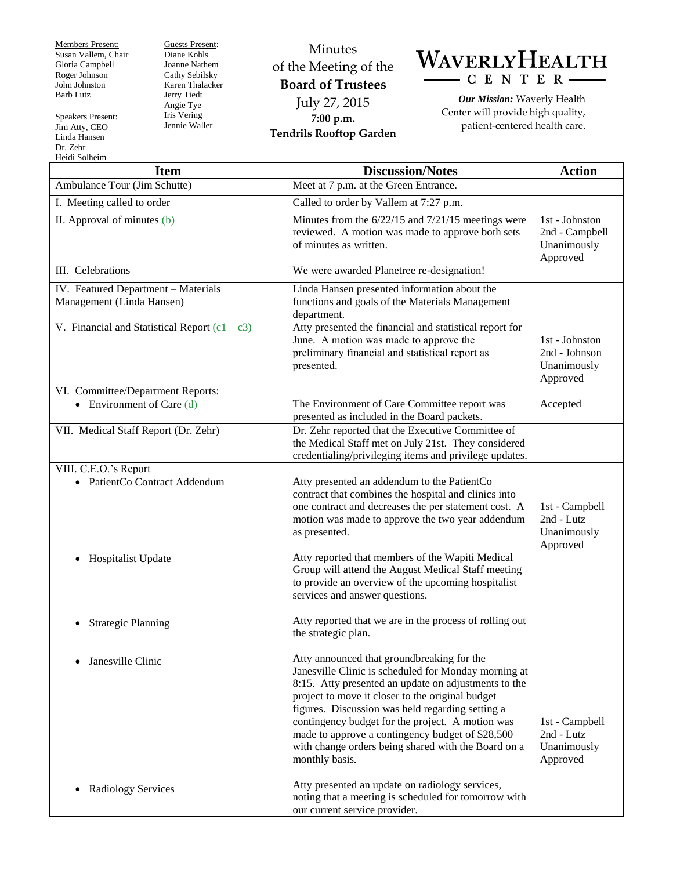Members Present: Susan Vallem, Chair Gloria Campbell Roger Johnson John Johnston Barb Lutz

Speakers Present: Jim Atty, CEO Linda Hansen Dr. Zehr Heidi Solheim

Guests Present: Diane Kohls Joanne Nathem Cathy Sebilsky Karen Thalacker Jerry Tiedt Angie Tye Iris Vering Jennie Waller

## Minutes of the Meeting of the **Board of Trustees** July 27, 2015 **7:00 p.m. Tendrils Rooftop Garden**



*Our Mission:* Waverly Health Center will provide high quality, patient-centered health care.

| <b>Item</b>                                                                               | <b>Discussion/Notes</b>                                                                                                                                                                                                                                                                                                                                                                                                                             | <b>Action</b>                                               |
|-------------------------------------------------------------------------------------------|-----------------------------------------------------------------------------------------------------------------------------------------------------------------------------------------------------------------------------------------------------------------------------------------------------------------------------------------------------------------------------------------------------------------------------------------------------|-------------------------------------------------------------|
| Ambulance Tour (Jim Schutte)                                                              | Meet at 7 p.m. at the Green Entrance.                                                                                                                                                                                                                                                                                                                                                                                                               |                                                             |
| I. Meeting called to order                                                                | Called to order by Vallem at 7:27 p.m.                                                                                                                                                                                                                                                                                                                                                                                                              |                                                             |
| II. Approval of minutes (b)                                                               | Minutes from the 6/22/15 and 7/21/15 meetings were<br>reviewed. A motion was made to approve both sets<br>of minutes as written.                                                                                                                                                                                                                                                                                                                    | 1st - Johnston<br>2nd - Campbell<br>Unanimously<br>Approved |
| III. Celebrations                                                                         | We were awarded Planetree re-designation!                                                                                                                                                                                                                                                                                                                                                                                                           |                                                             |
| IV. Featured Department - Materials<br>Management (Linda Hansen)                          | Linda Hansen presented information about the<br>functions and goals of the Materials Management<br>department.                                                                                                                                                                                                                                                                                                                                      |                                                             |
| V. Financial and Statistical Report $(c1 - c3)$                                           | Atty presented the financial and statistical report for<br>June. A motion was made to approve the<br>preliminary financial and statistical report as<br>presented.                                                                                                                                                                                                                                                                                  | 1st - Johnston<br>2nd - Johnson<br>Unanimously<br>Approved  |
| VI. Committee/Department Reports:<br>• Environment of Care $(d)$                          | The Environment of Care Committee report was<br>presented as included in the Board packets.                                                                                                                                                                                                                                                                                                                                                         | Accepted                                                    |
| VII. Medical Staff Report (Dr. Zehr)                                                      | Dr. Zehr reported that the Executive Committee of<br>the Medical Staff met on July 21st. They considered<br>credentialing/privileging items and privilege updates.                                                                                                                                                                                                                                                                                  |                                                             |
| VIII. C.E.O.'s Report<br>• PatientCo Contract Addendum<br>Hospitalist Update<br>$\bullet$ | Atty presented an addendum to the PatientCo<br>contract that combines the hospital and clinics into<br>one contract and decreases the per statement cost. A<br>motion was made to approve the two year addendum<br>as presented.<br>Atty reported that members of the Wapiti Medical                                                                                                                                                                | 1st - Campbell<br>2nd - Lutz<br>Unanimously<br>Approved     |
|                                                                                           | Group will attend the August Medical Staff meeting<br>to provide an overview of the upcoming hospitalist<br>services and answer questions.                                                                                                                                                                                                                                                                                                          |                                                             |
| <b>Strategic Planning</b>                                                                 | Atty reported that we are in the process of rolling out<br>the strategic plan.                                                                                                                                                                                                                                                                                                                                                                      |                                                             |
| Janesville Clinic                                                                         | Atty announced that groundbreaking for the<br>Janesville Clinic is scheduled for Monday morning at<br>8:15. Atty presented an update on adjustments to the<br>project to move it closer to the original budget<br>figures. Discussion was held regarding setting a<br>contingency budget for the project. A motion was<br>made to approve a contingency budget of \$28,500<br>with change orders being shared with the Board on a<br>monthly basis. | 1st - Campbell<br>2nd - Lutz<br>Unanimously<br>Approved     |
| <b>Radiology Services</b><br>$\bullet$                                                    | Atty presented an update on radiology services,<br>noting that a meeting is scheduled for tomorrow with<br>our current service provider.                                                                                                                                                                                                                                                                                                            |                                                             |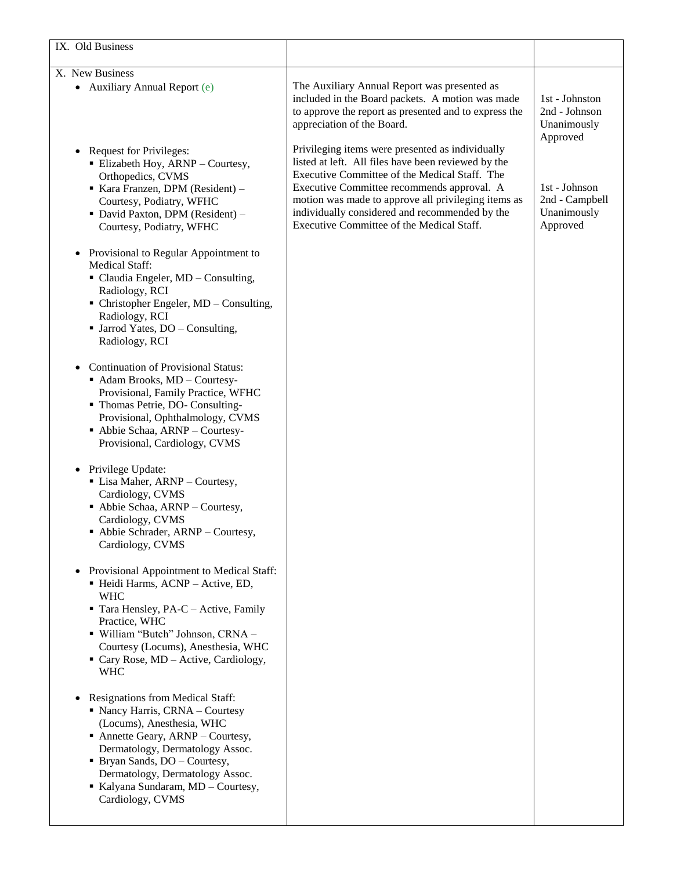| IX. Old Business                                                                                                                                                                                                                                                                                   |                                                                                                                                                                                                                                                                                                                                                              |                                                            |
|----------------------------------------------------------------------------------------------------------------------------------------------------------------------------------------------------------------------------------------------------------------------------------------------------|--------------------------------------------------------------------------------------------------------------------------------------------------------------------------------------------------------------------------------------------------------------------------------------------------------------------------------------------------------------|------------------------------------------------------------|
| X. New Business<br>• Auxiliary Annual Report (e)                                                                                                                                                                                                                                                   | The Auxiliary Annual Report was presented as<br>included in the Board packets. A motion was made<br>to approve the report as presented and to express the<br>appreciation of the Board.                                                                                                                                                                      | 1st - Johnston<br>2nd - Johnson<br>Unanimously<br>Approved |
| <b>Request for Privileges:</b><br>• Elizabeth Hoy, ARNP - Courtesy,<br>Orthopedics, CVMS<br>Kara Franzen, DPM (Resident) -<br>Courtesy, Podiatry, WFHC<br>• David Paxton, DPM (Resident) -<br>Courtesy, Podiatry, WFHC                                                                             | Privileging items were presented as individually<br>listed at left. All files have been reviewed by the<br>Executive Committee of the Medical Staff. The<br>Executive Committee recommends approval. A<br>motion was made to approve all privileging items as<br>individually considered and recommended by the<br>Executive Committee of the Medical Staff. | 1st - Johnson<br>2nd - Campbell<br>Unanimously<br>Approved |
| Provisional to Regular Appointment to<br><b>Medical Staff:</b><br>• Claudia Engeler, MD - Consulting,<br>Radiology, RCI<br>• Christopher Engeler, MD – Consulting,<br>Radiology, RCI<br>• Jarrod Yates, DO - Consulting,<br>Radiology, RCI                                                         |                                                                                                                                                                                                                                                                                                                                                              |                                                            |
| <b>Continuation of Provisional Status:</b><br>Adam Brooks, MD - Courtesy-<br>Provisional, Family Practice, WFHC<br>" Thomas Petrie, DO-Consulting-<br>Provisional, Ophthalmology, CVMS<br>- Abbie Schaa, ARNP - Courtesy-<br>Provisional, Cardiology, CVMS                                         |                                                                                                                                                                                                                                                                                                                                                              |                                                            |
| Privilege Update:<br>• Lisa Maher, ARNP - Courtesy,<br>Cardiology, CVMS<br>- Abbie Schaa, ARNP - Courtesy,<br>Cardiology, CVMS<br>• Abbie Schrader, ARNP - Courtesy,<br>Cardiology, CVMS                                                                                                           |                                                                                                                                                                                                                                                                                                                                                              |                                                            |
| Provisional Appointment to Medical Staff:<br>· Heidi Harms, ACNP - Active, ED,<br><b>WHC</b><br>Tara Hensley, PA-C – Active, Family<br>Practice, WHC<br>· William "Butch" Johnson, CRNA -<br>Courtesy (Locums), Anesthesia, WHC<br>Cary Rose, MD - Active, Cardiology,<br><b>WHC</b>               |                                                                                                                                                                                                                                                                                                                                                              |                                                            |
| Resignations from Medical Staff:<br>• Nancy Harris, CRNA - Courtesy<br>(Locums), Anesthesia, WHC<br>Annette Geary, ARNP - Courtesy,<br>Dermatology, Dermatology Assoc.<br>• Bryan Sands, DO - Courtesy,<br>Dermatology, Dermatology Assoc.<br>Kalyana Sundaram, MD - Courtesy,<br>Cardiology, CVMS |                                                                                                                                                                                                                                                                                                                                                              |                                                            |